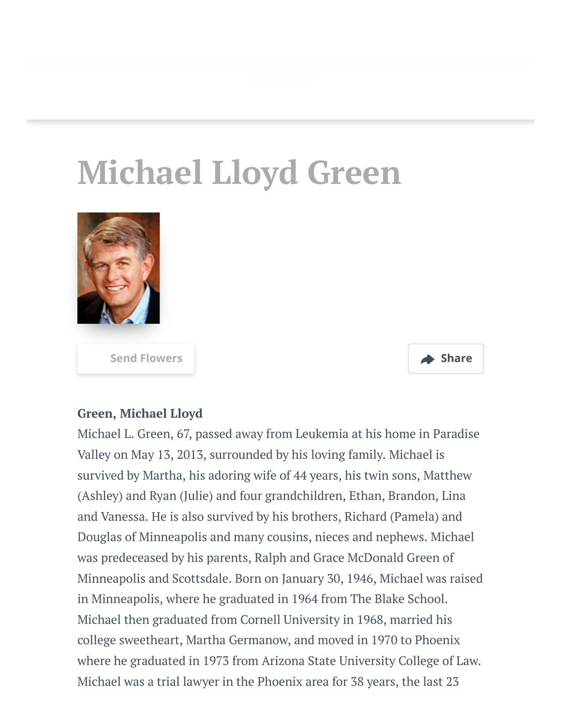

## **Michael Lloyd Green**



**[Send Flowers](https://sympathy.legacy.com/en-us/funeral-flowers/name/michael-green-funeral-flowers/p164848602/?affiliateId=45&pm=205) Share**



## **Green, Michael Lloyd**

Michael L. Green, 67, passed away from Leukemia at his home in Paradise Valley on May 13, 2013, surrounded by his loving family. Michael is survived by Martha, his adoring wife of 44 years, his twin sons, Matthew (Ashley) and Ryan (Julie) and four grandchildren, Ethan, Brandon, Lina and Vanessa. He is also survived by his brothers, Richard (Pamela) and Douglas of Minneapolis and many cousins, nieces and nephews. Michael was predeceased by his parents, Ralph and Grace McDonald Green of Minneapolis and Scottsdale. Born on January 30, 1946, Michael was raised in Minneapolis, where he graduated in 1964 from The Blake School. Michael then graduated from Cornell University in 1968, married his college sweetheart, Martha Germanow, and moved in 1970 to Phoenix where he graduated in 1973 from Arizona State University College of Law. Michael was a trial lawyer in the Phoenix area for 38 years, the last 23